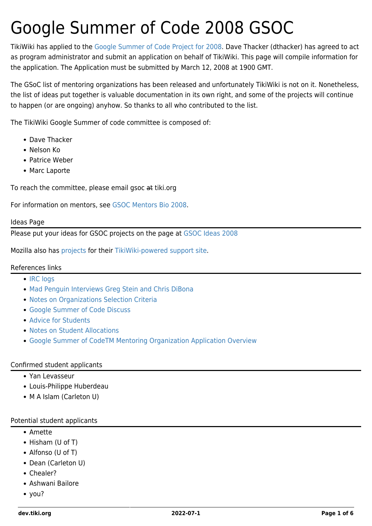# Google Summer of Code 2008 GSOC

TikiWiki has applied to the [Google Summer of Code Project for 2008.](http://code.google.com/soc/2008/) Dave Thacker (dthacker) has agreed to act as program administrator and submit an application on behalf of TikiWiki. This page will compile information for the application. The Application must be submitted by March 12, 2008 at 1900 GMT.

The GSoC list of mentoring organizations has been released and unfortunately TikiWiki is not on it. Nonetheless, the list of ideas put together is valuable documentation in its own right, and some of the projects will continue to happen (or are ongoing) anyhow. So thanks to all who contributed to the list.

The TikiWiki Google Summer of code committee is composed of:

- Dave Thacker
- Nelson Ko
- Patrice Weber
- Marc Laporte

To reach the committee, please email gsoc at tiki.org

For information on mentors, see [GSOC Mentors Bio 2008.](https://dev.tiki.org/GSOC-Mentors-Bio-2008)

#### Ideas Page

Please put your ideas for GSOC projects on the page at [GSOC Ideas 2008](https://dev.tiki.org/GSOC-Ideas-2008)

Mozilla also has [projects](http://wiki.mozilla.org/Community:SummerOfCode08#Firefox_Support_.28Sumo.29) for their [TikiWiki-powered support site.](http://support.mozilla.com)

#### References links

- [IRC logs](http://natulte.net/~dave/gsoclogs/)
- [Mad Penguin Interviews Greg Stein and Chris DiBona](http://madpenguin.org/cms/index.php/?m=show&opt=printable&id=7315)
- [Notes on Organizations Selection Criteria](http://groups.google.com/group/google-summer-of-code-announce/web/notes-on-organization-selection-criteria)
- [Google Summer of Code Discuss](http://groups.google.com/group/google-summer-of-code-discuss)
- [Advice for Students](http://code.google.com/p/google-summer-of-code/wiki/AdviceforStudents)
- [Notes on Student Allocations](http://groups.google.com/group/google-summer-of-code-announce/web/notes-on-student-allocations)
- [Google Summer of CodeTM Mentoring Organization Application Overview](http://groups.google.com/group/google-summer-of-code-announce/web/gsoc-mentor-organization-application-how-to)

#### Confirmed student applicants

- Yan Levasseur
- Louis-Philippe Huberdeau
- M A Islam (Carleton U)

#### Potential student applicants

- Amette
- Hisham (U of T)
- Alfonso (U of T)
- Dean (Carleton U)
- Chealer?
- Ashwani Bailore
- you?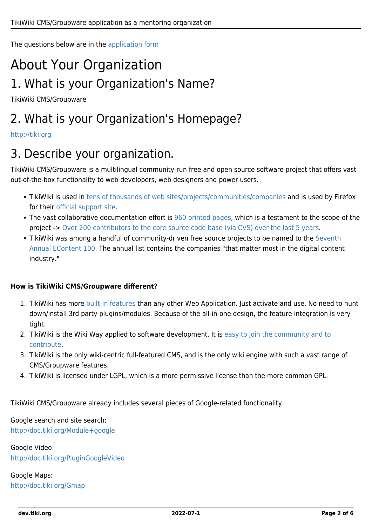The questions below are in the [application form](http://code.google.com/soc/2008/org_signup.html)

# About Your Organization 1. What is your Organization's Name?

TikiWiki CMS/Groupware

# 2. What is your Organization's Homepage?

#### <http://tiki.org>

## 3. Describe your organization.

TikiWiki CMS/Groupware is a multilingual community-run free and open source software project that offers vast out-of-the-box functionality to web developers, web designers and power users.

- TikiWiki is used in [tens of thousands of web sites/projects/communities/companies](http://www.google.com/search?q=tiki-index.php&btnG=Search&hl=en) and is used by Firefox for their [official support site.](http://support.mozilla.com)
- The vast collaborative documentation effort is [960 printed pages,](http://doc.tiki.org/files/Tiki19beta.pdf) which is a testament to the scope of the project -> [Over 200 contributors to the core source code base \(via CVS\) over the last 5 years](http://sourceforge.net/project/memberlist.php?group_id=64258).
- TikiWiki was among a handful of community-driven free source projects to be named to the [Seventh](http://info.tiki.org/tiki-read_article.php?articleId=21) [Annual EContent 100](http://info.tiki.org/tiki-read_article.php?articleId=21). The annual list contains the companies "that matter most in the digital content industry."

#### **How is TikiWiki CMS/Groupware different?**

- 1. TikiWiki has more [built-in features](http://doc.tiki.org/Features) than any other Web Application. Just activate and use. No need to hunt down/install 3rd party plugins/modules. Because of the all-in-one design, the feature integration is very tight.
- 2. TikiWiki is the Wiki Way applied to software development. It is [easy to join the community and to](https://dev.tiki.org/How-to-get-commit-access) [contribute](https://dev.tiki.org/How-to-get-commit-access).
- 3. TikiWiki is the only wiki-centric full-featured CMS, and is the only wiki engine with such a vast range of CMS/Groupware features.
- 4. TikiWiki is licensed under LGPL, which is a more permissive license than the more common GPL.

TikiWiki CMS/Groupware already includes several pieces of Google-related functionality.

Google search and site search: <http://doc.tiki.org/Module+google>

Google Video: <http://doc.tiki.org/PluginGoogleVideo>

Google Maps: <http://doc.tiki.org/Gmap>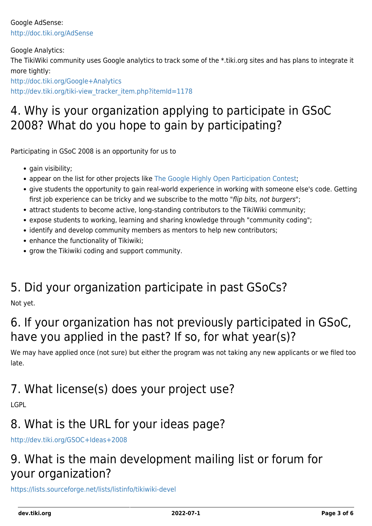Google AdSense: <http://doc.tiki.org/AdSense>

Google Analytics: The TikiWiki community uses Google analytics to track some of the \*.tiki.org sites and has plans to integrate it more tightly:

<http://doc.tiki.org/Google+Analytics>

[http://dev.tiki.org/tiki-view\\_tracker\\_item.php?itemId=1178](http://dev.tiki.org/tiki-view_tracker_item.php?itemId=1178)

# 4. Why is your organization applying to participate in GSoC 2008? What do you hope to gain by participating?

Participating in GSoC 2008 is an opportunity for us to

- gain visibility;
- appear on the list for other projects like [The Google Highly Open Participation Contest;](http://code.google.com/opensource/ghop/)
- give students the opportunity to gain real-world experience in working with someone else's code. Getting first job experience can be tricky and we subscribe to the motto "flip bits, not burgers";
- attract students to become active, long-standing contributors to the TikiWiki community;
- expose students to working, learning and sharing knowledge through "community coding";
- identify and develop community members as mentors to help new contributors;
- enhance the functionality of Tikiwiki;
- grow the Tikiwiki coding and support community.

### 5. Did your organization participate in past GSoCs?

Not yet.

# 6. If your organization has not previously participated in GSoC, have you applied in the past? If so, for what year(s)?

We may have applied once (not sure) but either the program was not taking any new applicants or we filed too late.

# 7. What license(s) does your project use?

LGPL

# 8. What is the URL for your ideas page?

<http://dev.tiki.org/GSOC+Ideas+2008>

# 9. What is the main development mailing list or forum for your organization?

<https://lists.sourceforge.net/lists/listinfo/tikiwiki-devel>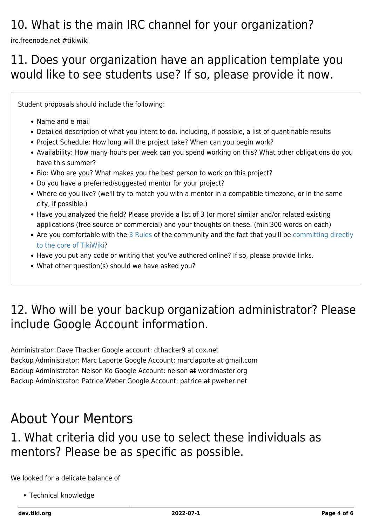# 10. What is the main IRC channel for your organization?

irc.freenode.net #tikiwiki

#### 11. Does your organization have an application template you would like to see students use? If so, please provide it now.

Student proposals should include the following:

- Name and e-mail
- Detailed description of what you intent to do, including, if possible, a list of quantifiable results
- Project Schedule: How long will the project take? When can you begin work?
- Availability: How many hours per week can you spend working on this? What other obligations do you have this summer?
- Bio: Who are you? What makes you the best person to work on this project?
- Do you have a preferred/suggested mentor for your project?
- Where do you live? (we'll try to match you with a mentor in a compatible timezone, or in the same city, if possible.)
- Have you analyzed the field? Please provide a list of 3 (or more) similar and/or related existing applications (free source or commercial) and your thoughts on these. (min 300 words on each)
- Are you comfortable with the [3 Rules](https://dev.tiki.org/3-Rules) of the community and the fact that you'll be [committing directly](https://dev.tiki.org/How-to-get-commit-access) [to the core of TikiWiki](https://dev.tiki.org/How-to-get-commit-access)?
- Have you put any code or writing that you've authored online? If so, please provide links.
- What other question(s) should we have asked you?

# 12. Who will be your backup organization administrator? Please include Google Account information.

Administrator: Dave Thacker Google account: dthacker9 at cox.net Backup Administrator: Marc Laporte Google Account: marclaporte at gmail.com Backup Administrator: Nelson Ko Google Account: nelson at wordmaster.org Backup Administrator: Patrice Weber Google Account: patrice at pweber.net

# About Your Mentors

### 1. What criteria did you use to select these individuals as mentors? Please be as specific as possible.

We looked for a delicate balance of

Technical knowledge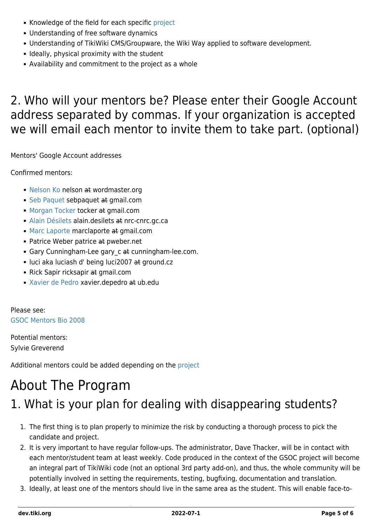- Knowledge of the field for each specific [project](https://dev.tiki.org/GSOC-Ideas-2008)
- Understanding of free software dynamics
- Understanding of TikiWiki CMS/Groupware, the Wiki Way applied to software development.
- Ideally, physical proximity with the student
- Availability and commitment to the project as a whole

## 2. Who will your mentors be? Please enter their Google Account address separated by commas. If your organization is accepted we will email each mentor to invite them to take part. (optional)

Mentors' Google Account addresses

Confirmed mentors:

- [Nelson Ko](http://nelsonko.com/) nelson at wordmaster.org
- [Seb Paquet](http://radio.weblogs.com/0110772/) sebpaquet at gmail.com
- [Morgan Tocker](http://www.tocker.id.au/) tocker at gmail.com
- [Alain Désilets](http://iit-iti.nrc-cnrc.gc.ca/personnel/desilets_alain_e.html) alain.desilets at nrc-cnrc.gc.ca
- [Marc Laporte](http://marclaporte.com/) marclaporte at gmail.com
- Patrice Weber patrice at pweber.net
- Gary Cunningham-Lee gary\_c at cunningham-lee.com.
- luci aka luciash d' being luci2007 at ground.cz
- Rick Sapir ricksapir at gmail.com
- [Xavier de Pedro](https://webgrec.ub.edu/webs/05195_ANG.html) xavier.depedro at ub.edu

Please see: [GSOC Mentors Bio 2008](https://dev.tiki.org/GSOC-Mentors-Bio-2008)

Potential mentors: Sylvie Greverend

Additional mentors could be added depending on the [project](https://dev.tiki.org/GSOC-Ideas-2008)

# About The Program

# 1. What is your plan for dealing with disappearing students?

- 1. The first thing is to plan properly to minimize the risk by conducting a thorough process to pick the candidate and project.
- 2. It is very important to have regular follow-ups. The administrator, Dave Thacker, will be in contact with each mentor/student team at least weekly. Code produced in the context of the GSOC project will become an integral part of TikiWiki code (not an optional 3rd party add-on), and thus, the whole community will be potentially involved in setting the requirements, testing, bugfixing, documentation and translation.
- 3. Ideally, at least one of the mentors should live in the same area as the student. This will enable face-to-